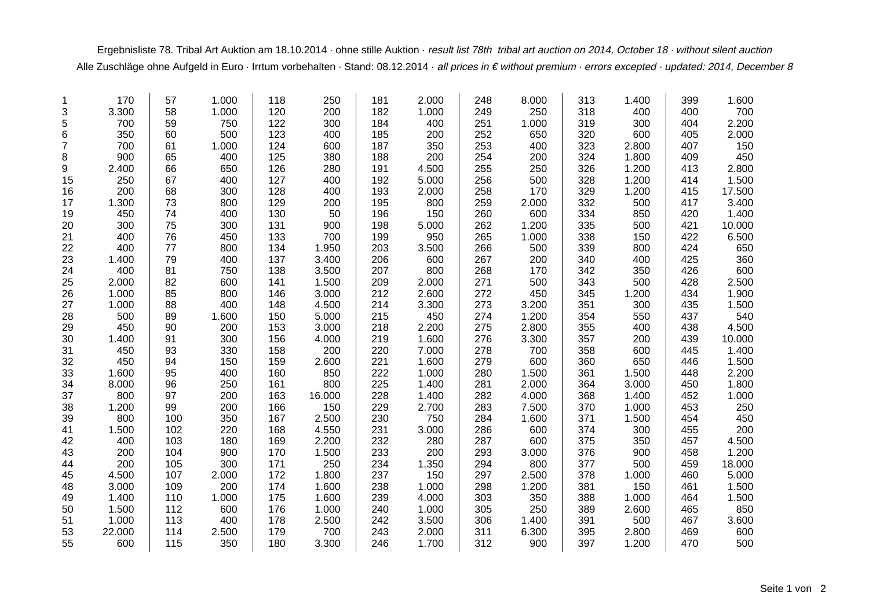Ergebnisliste 78. Tribal Art Auktion am 18.10.2014 · ohne stille Auktion · result list 78th tribal art auction on 2014, October 18 · without silent auction Alle Zuschläge ohne Aufgeld in Euro · Irrtum vorbehalten · Stand: 08.12.2014 · all prices in € without premium · errors excepted · updated: 2014, December 8

| 1              | 170    | 57  | 1.000 | 118 | 250    | 181 | 2.000 | 248 | 8.000 | 313 | 1.400 | 399 | 1.600  |
|----------------|--------|-----|-------|-----|--------|-----|-------|-----|-------|-----|-------|-----|--------|
| 3              | 3.300  | 58  | 1.000 | 120 | 200    | 182 | 1.000 | 249 | 250   | 318 | 400   | 400 | 700    |
| 5              | 700    | 59  | 750   | 122 | 300    | 184 | 400   | 251 | 1.000 | 319 | 300   | 404 | 2.200  |
| 6              | 350    | 60  | 500   | 123 | 400    | 185 | 200   | 252 | 650   | 320 | 600   | 405 | 2.000  |
| $\overline{7}$ | 700    | 61  | 1.000 | 124 | 600    | 187 | 350   | 253 | 400   | 323 | 2.800 | 407 | 150    |
| 8              | 900    | 65  | 400   | 125 | 380    | 188 | 200   | 254 | 200   | 324 | 1.800 | 409 | 450    |
| 9              | 2.400  | 66  | 650   | 126 | 280    | 191 | 4.500 | 255 | 250   | 326 | 1.200 | 413 | 2.800  |
| 15             | 250    | 67  | 400   | 127 | 400    | 192 | 5.000 | 256 | 500   | 328 | 1.200 | 414 | 1.500  |
| 16             | 200    | 68  | 300   | 128 | 400    | 193 | 2.000 | 258 | 170   | 329 | 1.200 | 415 | 17.500 |
| 17             | 1.300  | 73  | 800   | 129 | 200    | 195 | 800   | 259 | 2.000 | 332 | 500   | 417 | 3.400  |
| 19             | 450    | 74  | 400   | 130 | 50     | 196 | 150   | 260 | 600   | 334 | 850   | 420 | 1.400  |
| 20             | 300    | 75  | 300   | 131 | 900    | 198 | 5.000 | 262 | 1.200 | 335 | 500   | 421 | 10.000 |
| 21             | 400    | 76  | 450   | 133 | 700    | 199 | 950   | 265 | 1.000 | 338 | 150   | 422 | 6.500  |
| 22             | 400    | 77  | 800   | 134 | 1.950  | 203 | 3.500 | 266 | 500   | 339 | 800   | 424 | 650    |
| 23             | 1.400  | 79  | 400   | 137 | 3.400  | 206 | 600   | 267 | 200   | 340 | 400   | 425 | 360    |
| 24             | 400    | 81  | 750   | 138 | 3.500  | 207 | 800   | 268 | 170   | 342 | 350   | 426 | 600    |
| 25             | 2.000  | 82  | 600   | 141 | 1.500  | 209 | 2.000 | 271 | 500   | 343 | 500   | 428 | 2.500  |
| 26             | 1.000  | 85  | 800   | 146 | 3.000  | 212 | 2.600 | 272 | 450   | 345 | 1.200 | 434 | 1.900  |
| 27             | 1.000  | 88  | 400   | 148 | 4.500  | 214 | 3.300 | 273 | 3.200 | 351 | 300   | 435 | 1.500  |
| 28             | 500    | 89  | 1.600 | 150 | 5.000  | 215 | 450   | 274 | 1.200 | 354 | 550   | 437 | 540    |
| 29             | 450    | 90  | 200   | 153 | 3.000  | 218 | 2.200 | 275 | 2.800 | 355 | 400   | 438 | 4.500  |
| 30             | 1.400  | 91  | 300   | 156 | 4.000  | 219 | 1.600 | 276 | 3.300 | 357 | 200   | 439 | 10.000 |
| 31             | 450    | 93  | 330   | 158 | 200    | 220 | 7.000 | 278 | 700   | 358 | 600   | 445 | 1.400  |
| 32             | 450    | 94  | 150   | 159 | 2.600  | 221 | 1.600 | 279 | 600   | 360 | 650   | 446 | 1.500  |
| 33             | 1.600  | 95  | 400   | 160 | 850    | 222 | 1.000 | 280 | 1.500 | 361 | 1.500 | 448 | 2.200  |
| 34             | 8.000  | 96  | 250   | 161 | 800    | 225 | 1.400 | 281 | 2.000 | 364 | 3.000 | 450 | 1.800  |
| 37             | 800    | 97  | 200   | 163 | 16.000 | 228 | 1.400 | 282 | 4.000 | 368 | 1.400 | 452 | 1.000  |
| 38             | 1.200  | 99  | 200   | 166 | 150    | 229 | 2.700 | 283 | 7.500 | 370 | 1.000 | 453 | 250    |
| 39             | 800    | 100 | 350   | 167 | 2.500  | 230 | 750   | 284 | 1.600 | 371 | 1.500 | 454 | 450    |
| 41             | 1.500  | 102 | 220   | 168 | 4.550  | 231 | 3.000 | 286 | 600   | 374 | 300   | 455 | 200    |
| 42             | 400    | 103 | 180   | 169 | 2.200  | 232 | 280   | 287 | 600   | 375 | 350   | 457 | 4.500  |
| 43             | 200    | 104 | 900   | 170 | 1.500  | 233 | 200   | 293 | 3.000 | 376 | 900   | 458 | 1.200  |
| 44             | 200    | 105 | 300   | 171 | 250    | 234 | 1.350 | 294 | 800   | 377 | 500   | 459 | 18.000 |
| 45             | 4.500  | 107 | 2.000 | 172 | 1.800  | 237 | 150   | 297 | 2.500 | 378 | 1.000 | 460 | 5.000  |
| 48             | 3.000  | 109 | 200   | 174 | 1.600  | 238 | 1.000 | 298 | 1.200 | 381 | 150   | 461 | 1.500  |
| 49             | 1.400  | 110 | 1.000 | 175 | 1.600  | 239 | 4.000 | 303 | 350   | 388 | 1.000 | 464 | 1.500  |
| 50             | 1.500  | 112 | 600   | 176 | 1.000  | 240 | 1.000 | 305 | 250   | 389 | 2.600 | 465 | 850    |
| 51             | 1.000  | 113 | 400   | 178 | 2.500  | 242 | 3.500 | 306 | 1.400 | 391 | 500   | 467 | 3.600  |
| 53             | 22.000 | 114 | 2.500 | 179 | 700    | 243 | 2.000 | 311 | 6.300 | 395 | 2.800 | 469 | 600    |
| 55             | 600    | 115 | 350   | 180 | 3.300  | 246 | 1.700 | 312 | 900   | 397 | 1.200 | 470 | 500    |
|                |        |     |       |     |        |     |       |     |       |     |       |     |        |